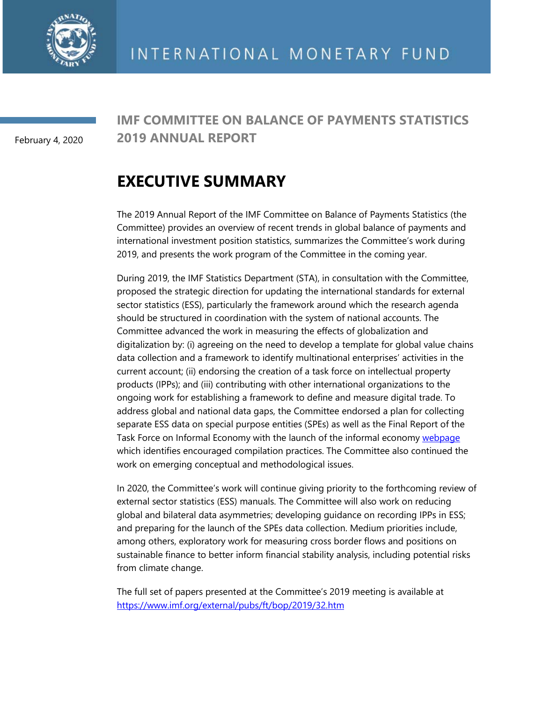

February 4, 2020

### **IMF COMMITTEE ON BALANCE OF PAYMENTS STATISTICS 2019 ANNUAL REPORT**

# **EXECUTIVE SUMMARY**

The 2019 Annual Report of the IMF Committee on Balance of Payments Statistics (the Committee) provides an overview of recent trends in global balance of payments and international investment position statistics, summarizes the Committee's work during 2019, and presents the work program of the Committee in the coming year.

During 2019, the IMF Statistics Department (STA), in consultation with the Committee, proposed the strategic direction for updating the international standards for external sector statistics (ESS), particularly the framework around which the research agenda should be structured in coordination with the system of national accounts. The Committee advanced the work in measuring the effects of globalization and digitalization by: (i) agreeing on the need to develop a template for global value chains data collection and a framework to identify multinational enterprises' activities in the current account; (ii) endorsing the creation of a task force on intellectual property products (IPPs); and (iii) contributing with other international organizations to the ongoing work for establishing a framework to define and measure digital trade. To address global and national data gaps, the Committee endorsed a plan for collecting separate ESS data on special purpose entities (SPEs) as well as the Final Report of the Task Force on Informal Economy with the launch of the informal economy [webpage](https://www.imf.org/en/Data/Statistics/informal-economy-data) which identifies encouraged compilation practices. The Committee also continued the work on emerging conceptual and methodological issues.

In 2020, the Committee's work will continue giving priority to the forthcoming review of external sector statistics (ESS) manuals. The Committee will also work on reducing global and bilateral data asymmetries; developing guidance on recording IPPs in ESS; and preparing for the launch of the SPEs data collection. Medium priorities include, among others, exploratory work for measuring cross border flows and positions on sustainable finance to better inform financial stability analysis, including potential risks from climate change.

The full set of papers presented at the Committee's 2019 meeting is available at <https://www.imf.org/external/pubs/ft/bop/2019/32.htm>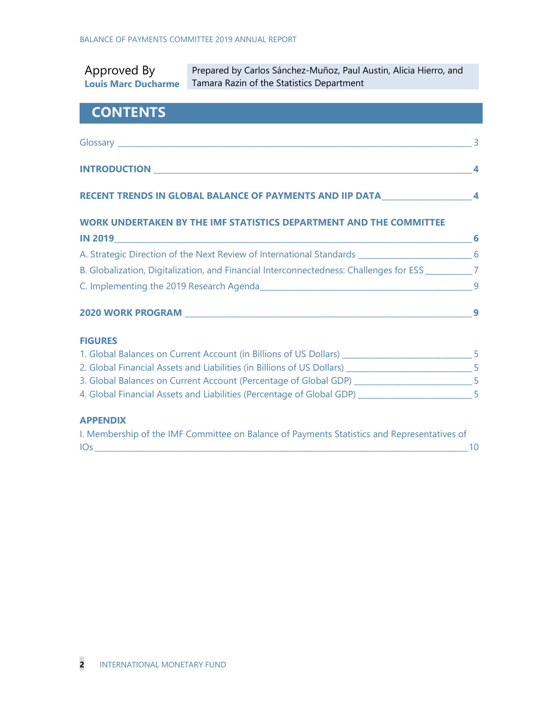| Approved By<br><b>Louis Marc Ducharme</b>                                                             | Prepared by Carlos Sánchez-Muñoz, Paul Austin, Alicia Hierro, and<br>Tamara Razin of the Statistics Department |  |
|-------------------------------------------------------------------------------------------------------|----------------------------------------------------------------------------------------------------------------|--|
| <b>CONTENTS</b>                                                                                       |                                                                                                                |  |
|                                                                                                       |                                                                                                                |  |
|                                                                                                       |                                                                                                                |  |
|                                                                                                       | RECENT TRENDS IN GLOBAL BALANCE OF PAYMENTS AND IIP DATA________________________4                              |  |
|                                                                                                       | WORK UNDERTAKEN BY THE IMF STATISTICS DEPARTMENT AND THE COMMITTEE                                             |  |
|                                                                                                       |                                                                                                                |  |
| A. Strategic Direction of the Next Review of International Standards _______________________________6 |                                                                                                                |  |
| B. Globalization, Digitalization, and Financial Interconnectedness: Challenges for ESS __________7    |                                                                                                                |  |
|                                                                                                       |                                                                                                                |  |
|                                                                                                       |                                                                                                                |  |
| <b>FIGURES</b>                                                                                        |                                                                                                                |  |
| 1. Global Balances on Current Account (in Billions of US Dollars) ________________________________5   |                                                                                                                |  |
| 2. Global Financial Assets and Liabilities (in Billions of US Dollars) _____________________________5 |                                                                                                                |  |
| 3. Global Balances on Current Account (Percentage of Global GDP) __________________________5          |                                                                                                                |  |
| <b>APPENDIX</b>                                                                                       | 4. Global Financial Assets and Liabilities (Percentage of Global GDP) ________________________5                |  |
|                                                                                                       | I. Membership of the IMF Committee on Balance of Payments Statistics and Representatives of                    |  |

IOs \_\_\_\_\_\_\_\_\_\_\_\_\_\_\_\_\_\_\_\_\_\_\_\_\_\_\_\_\_\_\_\_\_\_\_\_\_\_\_\_\_\_\_\_\_\_\_\_\_\_\_\_\_\_\_\_\_\_\_\_\_\_\_\_\_\_\_\_\_\_\_\_\_\_\_\_\_\_\_\_\_\_\_\_\_\_\_\_\_\_\_\_\_\_\_10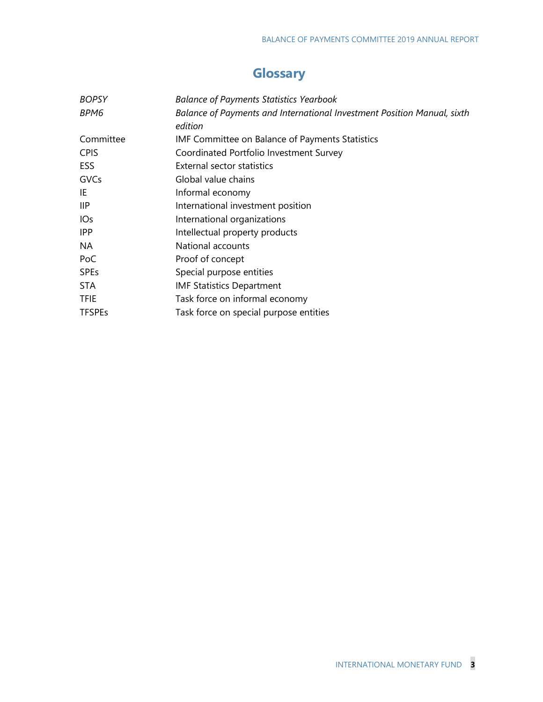## **Glossary**

| <b>BOPSY</b>    | <b>Balance of Payments Statistics Yearbook</b>                                     |
|-----------------|------------------------------------------------------------------------------------|
| BPM6            | Balance of Payments and International Investment Position Manual, sixth<br>edition |
| Committee       | <b>IMF Committee on Balance of Payments Statistics</b>                             |
| <b>CPIS</b>     | Coordinated Portfolio Investment Survey                                            |
| <b>ESS</b>      | External sector statistics                                                         |
| GVCs            | Global value chains                                                                |
| IE              | Informal economy                                                                   |
| <b>IIP</b>      | International investment position                                                  |
| IO <sub>S</sub> | International organizations                                                        |
| <b>IPP</b>      | Intellectual property products                                                     |
| NA              | National accounts                                                                  |
| PoC             | Proof of concept                                                                   |
| <b>SPEs</b>     | Special purpose entities                                                           |
| <b>STA</b>      | <b>IMF Statistics Department</b>                                                   |
| <b>TFIE</b>     | Task force on informal economy                                                     |
| <b>TFSPEs</b>   | Task force on special purpose entities                                             |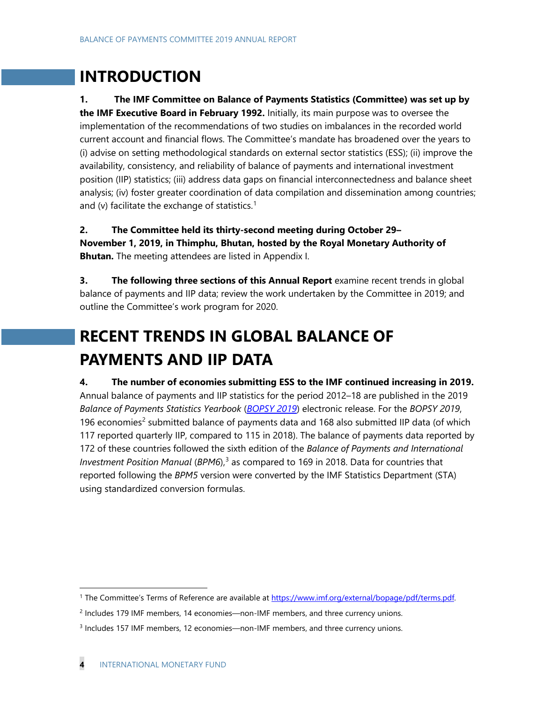# **INTRODUCTION**

**1. The IMF Committee on Balance of Payments Statistics (Committee) was set up by the IMF Executive Board in February 1992.** Initially, its main purpose was to oversee the implementation of the recommendations of two studies on imbalances in the recorded world current account and financial flows. The Committee's mandate has broadened over the years to (i) advise on setting methodological standards on external sector statistics (ESS); (ii) improve the availability, consistency, and reliability of balance of payments and international investment position (IIP) statistics; (iii) address data gaps on financial interconnectedness and balance sheet analysis; (iv) foster greater coordination of data compilation and dissemination among countries; and (v) facilitate the exchange of statistics.<sup>[1](#page-3-0)</sup>

**2. The Committee held its thirty-second meeting during October 29– November 1, 2019, in Thimphu, Bhutan, hosted by the Royal Monetary Authority of Bhutan.** The meeting attendees are listed in Appendix I.

**3.** The following three sections of this Annual Report examine recent trends in global balance of payments and IIP data; review the work undertaken by the Committee in 2019; and outline the Committee's work program for 2020.

# **RECENT TRENDS IN GLOBAL BALANCE OF PAYMENTS AND IIP DATA**

**4. The number of economies submitting ESS to the IMF continued increasing in 2019.** Annual balance of payments and IIP statistics for the period 2012–18 are published in the 2019 *Balance of Payments Statistics Yearbook* (*[BOPSY 2019](http://data.imf.org/?sk=7A51304B-6426-40C0-83DD-CA473CA1FD52&sId=1542634807764)*) electronic release. For the *BOPSY 2019*, 196 economies<sup>[2](#page-3-1)</sup> submitted balance of payments data and 168 also submitted IIP data (of which 117 reported quarterly IIP, compared to 115 in 2018). The balance of payments data reported by 172 of these countries followed the sixth edition of the *Balance of Payments and International Investment Position Manual* (*BPM6*), [3](#page-3-2) as compared to 169 in 2018. Data for countries that reported following the *BPM5* version were converted by the IMF Statistics Department (STA) using standardized conversion formulas.

<span id="page-3-0"></span><sup>&</sup>lt;sup>1</sup> The Committee's Terms of Reference are available at [https://www.imf.org/external/bopage/pdf/terms.pdf.](https://www.imf.org/external/bopage/pdf/terms.pdf)

<span id="page-3-1"></span><sup>2</sup> Includes 179 IMF members, 14 economies—non-IMF members, and three currency unions.

<span id="page-3-2"></span><sup>3</sup> Includes 157 IMF members, 12 economies—non-IMF members, and three currency unions.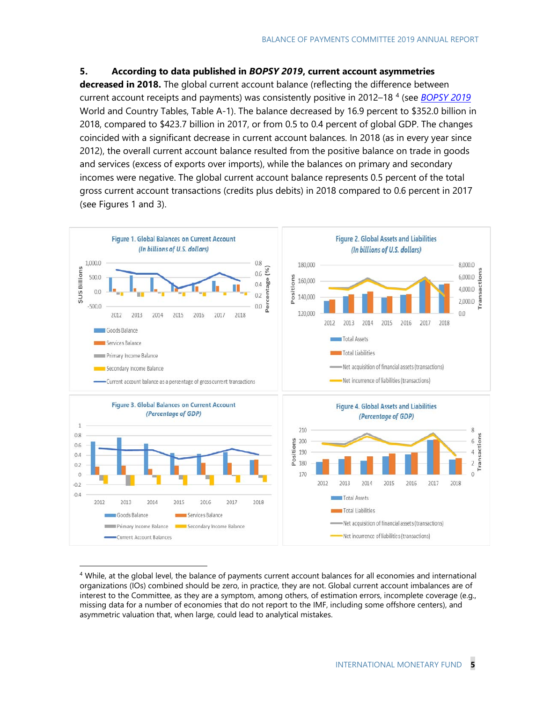#### **5. According to data published in** *BOPSY 2019***, current account asymmetries**

**decreased in 2018.** The global current account balance (reflecting the difference between current account receipts and payments) was consistently positive in 2012–18 [4](#page-4-0) (see *[BOPSY 2019](http://data.imf.org/?sk=7A51304B-6426-40C0-83DD-CA473CA1FD52&sId=1542634807764)* World and Country Tables, Table A-1). The balance decreased by 16.9 percent to \$352.0 billion in 2018, compared to \$423.7 billion in 2017, or from 0.5 to 0.4 percent of global GDP. The changes coincided with a significant decrease in current account balances. In 2018 (as in every year since 2012), the overall current account balance resulted from the positive balance on trade in goods and services (excess of exports over imports), while the balances on primary and secondary incomes were negative. The global current account balance represents 0.5 percent of the total gross current account transactions (credits plus debits) in 2018 compared to 0.6 percent in 2017 (see Figures 1 and 3).



<span id="page-4-0"></span><sup>&</sup>lt;sup>4</sup> While, at the global level, the balance of payments current account balances for all economies and international organizations (IOs) combined should be zero, in practice, they are not. Global current account imbalances are of interest to the Committee, as they are a symptom, among others, of estimation errors, incomplete coverage (e.g., missing data for a number of economies that do not report to the IMF, including some offshore centers), and asymmetric valuation that, when large, could lead to analytical mistakes.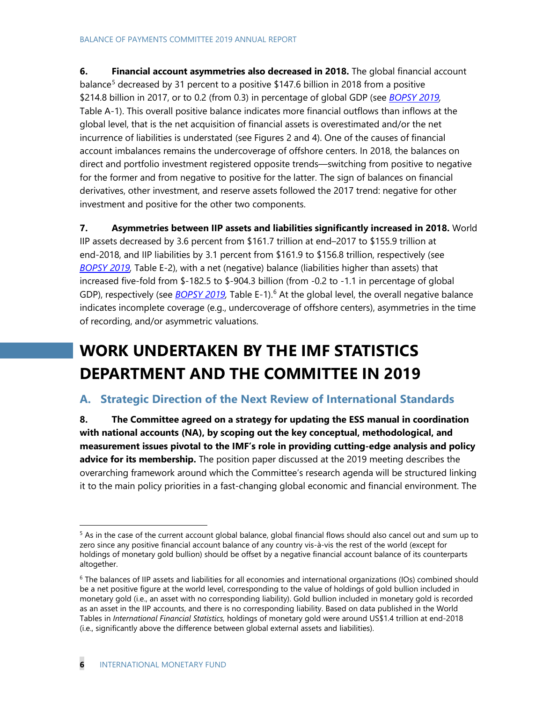**6. Financial account asymmetries also decreased in 2018.** The global financial account balance<sup>[5](#page-5-0)</sup> decreased by 31 percent to a positive \$147.6 billion in 2018 from a positive \$214.8 billion in 2017, or to 0.2 (from 0.3) in percentage of global GDP (see *[BOPSY 2019,](http://data.imf.org/?sk=7A51304B-6426-40C0-83DD-CA473CA1FD52&sId=1542634807764)*  Table A-1). This overall positive balance indicates more financial outflows than inflows at the global level, that is the net acquisition of financial assets is overestimated and/or the net incurrence of liabilities is understated (see Figures 2 and 4). One of the causes of financial account imbalances remains the undercoverage of offshore centers. In 2018, the balances on direct and portfolio investment registered opposite trends—switching from positive to negative for the former and from negative to positive for the latter. The sign of balances on financial derivatives, other investment, and reserve assets followed the 2017 trend: negative for other investment and positive for the other two components.

**7. Asymmetries between IIP assets and liabilities significantly increased in 2018.** World IIP assets decreased by 3.6 percent from \$161.7 trillion at end*–*2017 to \$155.9 trillion at end*-*2018, and IIP liabilities by 3.1 percent from \$161.9 to \$156.8 trillion, respectively (see *[BOPSY](http://data.imf.org/?sk=7A51304B-6426-40C0-83DD-CA473CA1FD52&sId=1542634807764) 2019,* Table E-2), with a net (negative) balance (liabilities higher than assets) that increased five-fold from \$-182.5 to \$-904.3 billion (from -0.2 to -1.1 in percentage of global GDP), respectively (see *[BOPSY 2019,](http://data.imf.org/?sk=7A51304B-6426-40C0-83DD-CA473CA1FD52&sId=1542634807764)* Table E-1).<sup>[6](#page-5-1)</sup> At the global level, the overall negative balance indicates incomplete coverage (e.g., undercoverage of offshore centers), asymmetries in the time of recording, and/or asymmetric valuations.

# **WORK UNDERTAKEN BY THE IMF STATISTICS DEPARTMENT AND THE COMMITTEE IN 2019**

### **A. Strategic Direction of the Next Review of International Standards**

**8. The Committee agreed on a strategy for updating the ESS manual in coordination with national accounts (NA), by scoping out the key conceptual, methodological, and measurement issues pivotal to the IMF's role in providing cutting-edge analysis and policy advice for its membership.** The position paper discussed at the 2019 meeting describes the overarching framework around which the Committee's research agenda will be structured linking it to the main policy priorities in a fast-changing global economic and financial environment. The

<span id="page-5-0"></span><sup>&</sup>lt;sup>5</sup> As in the case of the current account global balance, global financial flows should also cancel out and sum up to zero since any positive financial account balance of any country vis-à-vis the rest of the world (except for holdings of monetary gold bullion) should be offset by a negative financial account balance of its counterparts altogether.

<span id="page-5-1"></span> $6$  The balances of IIP assets and liabilities for all economies and international organizations (IOs) combined should be a net positive figure at the world level, corresponding to the value of holdings of gold bullion included in monetary gold (i.e., an asset with no corresponding liability). Gold bullion included in monetary gold is recorded as an asset in the IIP accounts, and there is no corresponding liability. Based on data published in the World Tables in *International Financial Statistics,* holdings of monetary gold were around US\$1.4 trillion at end-2018 (i.e., significantly above the difference between global external assets and liabilities).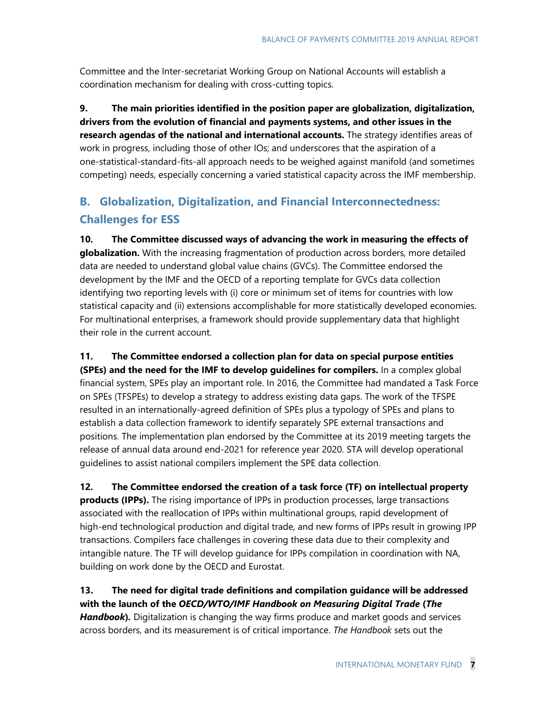Committee and the Inter-secretariat Working Group on National Accounts will establish a coordination mechanism for dealing with cross-cutting topics.

**9. The main priorities identified in the position paper are globalization, digitalization, drivers from the evolution of financial and payments systems, and other issues in the research agendas of the national and international accounts.** The strategy identifies areas of work in progress, including those of other IOs; and underscores that the aspiration of a one-statistical-standard-fits-all approach needs to be weighed against manifold (and sometimes competing) needs, especially concerning a varied statistical capacity across the IMF membership.

### **B. Globalization, Digitalization, and Financial Interconnectedness: Challenges for ESS**

**10. The Committee discussed ways of advancing the work in measuring the effects of globalization.** With the increasing fragmentation of production across borders, more detailed data are needed to understand global value chains (GVCs). The Committee endorsed the development by the IMF and the OECD of a reporting template for GVCs data collection identifying two reporting levels with (i) core or minimum set of items for countries with low statistical capacity and (ii) extensions accomplishable for more statistically developed economies. For multinational enterprises, a framework should provide supplementary data that highlight their role in the current account.

**11. The Committee endorsed a collection plan for data on special purpose entities (SPEs) and the need for the IMF to develop guidelines for compilers.** In a complex global financial system, SPEs play an important role. In 2016, the Committee had mandated a Task Force on SPEs (TFSPEs) to develop a strategy to address existing data gaps. The work of the TFSPE resulted in an internationally-agreed definition of SPEs plus a typology of SPEs and plans to establish a data collection framework to identify separately SPE external transactions and positions. The implementation plan endorsed by the Committee at its 2019 meeting targets the release of annual data around end-2021 for reference year 2020. STA will develop operational guidelines to assist national compilers implement the SPE data collection.

**12. The Committee endorsed the creation of a task force (TF) on intellectual property products (IPPs).** The rising importance of IPPs in production processes, large transactions associated with the reallocation of IPPs within multinational groups, rapid development of high-end technological production and digital trade, and new forms of IPPs result in growing IPP transactions. Compilers face challenges in covering these data due to their complexity and intangible nature. The TF will develop guidance for IPPs compilation in coordination with NA, building on work done by the OECD and Eurostat.

#### **13. The need for digital trade definitions and compilation guidance will be addressed with the launch of the** *OECD/WTO/IMF Handbook on Measuring Digital Trade* **(***The*

*Handbook***)***.* Digitalization is changing the way firms produce and market goods and services across borders, and its measurement is of critical importance. *The Handbook* sets out the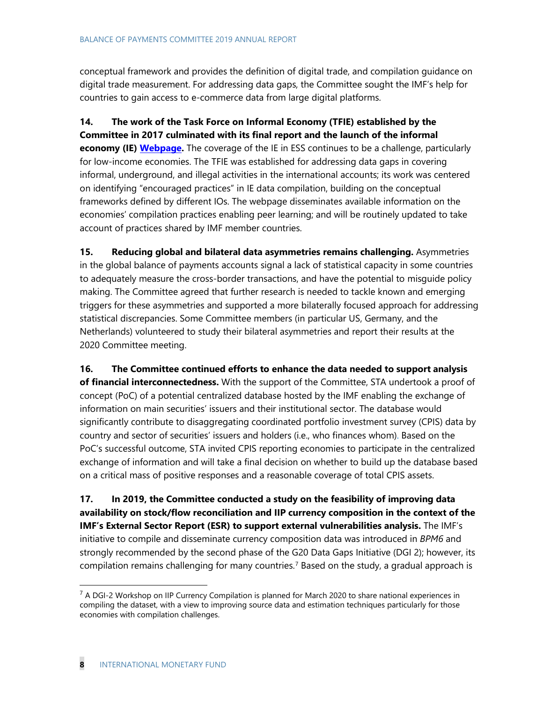conceptual framework and provides the definition of digital trade, and compilation guidance on digital trade measurement. For addressing data gaps, the Committee sought the IMF's help for countries to gain access to e-commerce data from large digital platforms.

**14. The work of the Task Force on Informal Economy (TFIE) established by the Committee in 2017 culminated with its final report and the launch of the informal economy (IE) [Webpage.](https://www.imf.org/en/Data/Statistics/informal-economy-data)** The coverage of the IE in ESS continues to be a challenge, particularly for low-income economies. The TFIE was established for addressing data gaps in covering informal, underground, and illegal activities in the international accounts; its work was centered on identifying "encouraged practices" in IE data compilation, building on the conceptual frameworks defined by different IOs. The webpage disseminates available information on the economies' compilation practices enabling peer learning; and will be routinely updated to take account of practices shared by IMF member countries.

**15. Reducing global and bilateral data asymmetries remains challenging.** Asymmetries in the global balance of payments accounts signal a lack of statistical capacity in some countries to adequately measure the cross-border transactions, and have the potential to misguide policy making. The Committee agreed that further research is needed to tackle known and emerging triggers for these asymmetries and supported a more bilaterally focused approach for addressing statistical discrepancies. Some Committee members (in particular US, Germany, and the Netherlands) volunteered to study their bilateral asymmetries and report their results at the 2020 Committee meeting.

**16. The Committee continued efforts to enhance the data needed to support analysis of financial interconnectedness.** With the support of the Committee, STA undertook a proof of concept (PoC) of a potential centralized database hosted by the IMF enabling the exchange of information on main securities' issuers and their institutional sector. The database would significantly contribute to disaggregating coordinated portfolio investment survey (CPIS) data by country and sector of securities' issuers and holders (i.e., who finances whom). Based on the PoC's successful outcome, STA invited CPIS reporting economies to participate in the centralized exchange of information and will take a final decision on whether to build up the database based on a critical mass of positive responses and a reasonable coverage of total CPIS assets.

**17. In 2019, the Committee conducted a study on the feasibility of improving data availability on stock/flow reconciliation and IIP currency composition in the context of the IMF's External Sector Report (ESR) to support external vulnerabilities analysis.** The IMF's initiative to compile and disseminate currency composition data was introduced in *BPM6* and strongly recommended by the second phase of the G20 Data Gaps Initiative (DGI 2); however, its compilation remains challenging for many countries. [7](#page-7-0) Based on the study, a gradual approach is

<span id="page-7-0"></span> $<sup>7</sup>$  A DGI-2 Workshop on IIP Currency Compilation is planned for March 2020 to share national experiences in</sup> compiling the dataset, with a view to improving source data and estimation techniques particularly for those economies with compilation challenges.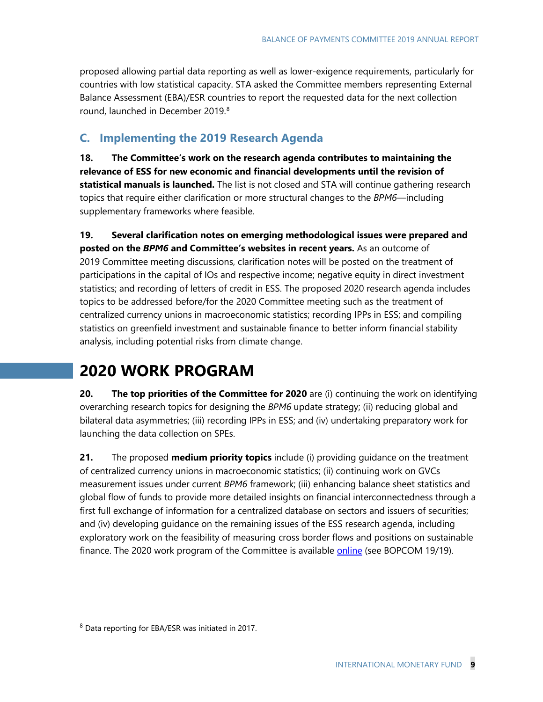proposed allowing partial data reporting as well as lower-exigence requirements, particularly for countries with low statistical capacity. STA asked the Committee members representing External Balance Assessment (EBA)/ESR countries to report the requested data for the next collection round, launched in December 2019. [8](#page-8-0)

### **C. Implementing the 2019 Research Agenda**

**18. The Committee's work on the research agenda contributes to maintaining the relevance of ESS for new economic and financial developments until the revision of statistical manuals is launched.** The list is not closed and STA will continue gathering research topics that require either clarification or more structural changes to the *BPM6—*including supplementary frameworks where feasible.

**19. Several clarification notes on emerging methodological issues were prepared and posted on the** *BPM6* **and Committee's websites in recent years.** As an outcome of 2019 Committee meeting discussions, clarification notes will be posted on the treatment of participations in the capital of IOs and respective income; negative equity in direct investment statistics; and recording of letters of credit in ESS. The proposed 2020 research agenda includes topics to be addressed before/for the 2020 Committee meeting such as the treatment of centralized currency unions in macroeconomic statistics; recording IPPs in ESS; and compiling statistics on greenfield investment and sustainable finance to better inform financial stability analysis, including potential risks from climate change.

## **2020 WORK PROGRAM**

**20. The top priorities of the Committee for 2020** are (i) continuing the work on identifying overarching research topics for designing the *BPM6* update strategy; (ii) reducing global and bilateral data asymmetries; (iii) recording IPPs in ESS; and (iv) undertaking preparatory work for launching the data collection on SPEs.

**21.** The proposed **medium priority topics** include (i) providing guidance on the treatment of centralized currency unions in macroeconomic statistics; (ii) continuing work on GVCs measurement issues under current *BPM6* framework; (iii) enhancing balance sheet statistics and global flow of funds to provide more detailed insights on financial interconnectedness through a first full exchange of information for a centralized database on sectors and issuers of securities; and (iv) developing guidance on the remaining issues of the ESS research agenda, including exploratory work on the feasibility of measuring cross border flows and positions on sustainable finance. The 2020 work program of the Committee is available [online](https://www.imf.org/external/pubs/ft/bop/2019/32.htm) (see BOPCOM 19/19).

<span id="page-8-0"></span> <sup>8</sup> Data reporting for EBA/ESR was initiated in 2017.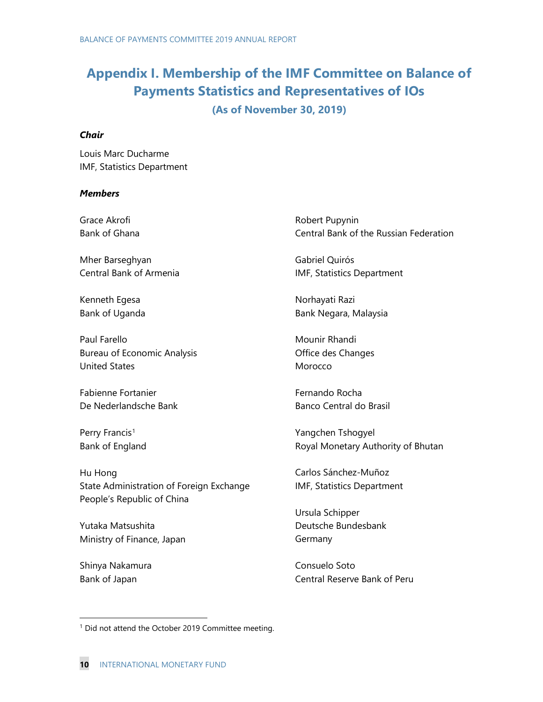## **Appendix I. Membership of the IMF Committee on Balance of Payments Statistics and Representatives of IOs**

#### **(As of November 30, 2019)**

#### *Chair*

Louis Marc Ducharme IMF, Statistics Department

#### *Members*

Grace Akrofi Bank of Ghana Mher Barseghyan Central Bank of Armenia Kenneth Egesa Bank of Uganda Paul Farello Bureau of Economic Analysis United States Fabienne Fortanier De Nederlandsche Bank Perry Francis<sup>[1](#page-9-0)</sup> Bank of England Hu Hong State Administration of Foreign Exchange People's Republic of China Yutaka Matsushita Robert Pupynin Central Bank of the Russian Federation Gabriel Quirós IMF, Statistics Department Norhayati Razi Bank Negara, Malaysia Mounir Rhandi Office des Changes Morocco Fernando Rocha Banco Central do Brasil Yangchen Tshogyel Royal Monetary Authority of Bhutan Carlos Sánchez-Muñoz IMF, Statistics Department Ursula Schipper Deutsche Bundesbank

Shinya Nakamura Bank of Japan

Ministry of Finance, Japan

Consuelo Soto Central Reserve Bank of Peru

Germany

<span id="page-9-0"></span><sup>&</sup>lt;sup>1</sup> Did not attend the October 2019 Committee meeting.